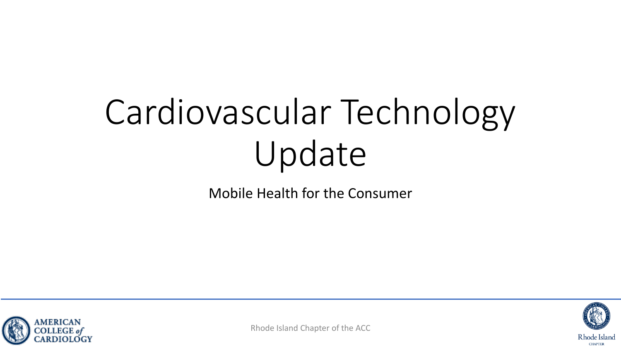# Cardiovascular Technology Update

Mobile Health for the Consumer



Rhode Island Chapter of the ACC

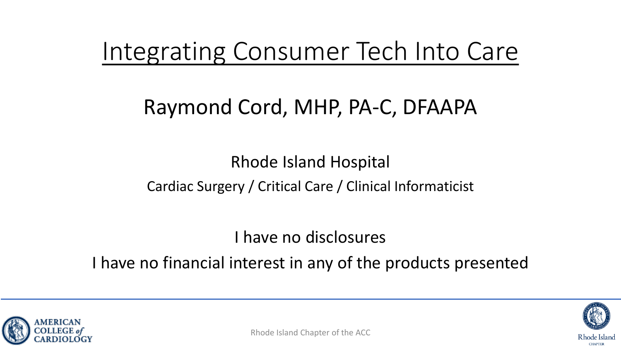#### Integrating Consumer Tech Into Care

#### Raymond Cord, MHP, PA-C, DFAAPA

#### Rhode Island Hospital Cardiac Surgery / Critical Care / Clinical Informaticist

I have no disclosures

I have no financial interest in any of the products presented





Rhode Island **CHAPTER**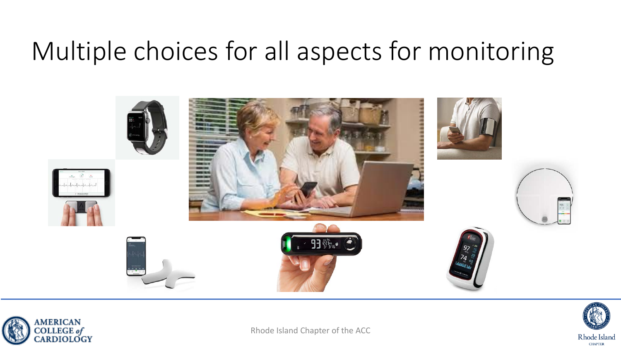#### Multiple choices for all aspects for monitoring





Rhode Island Chapter of the ACC

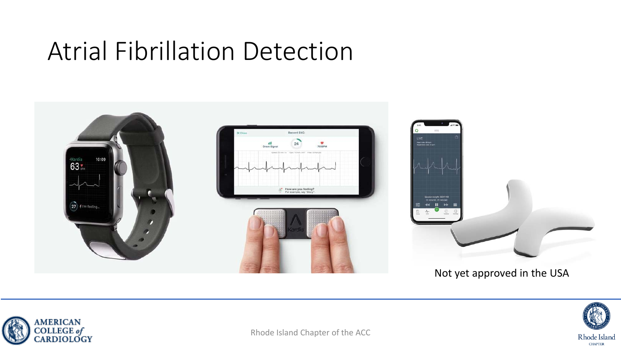#### Atrial Fibrillation Detection



#### Not yet approved in the USA





Rhode Island Chapter of the ACC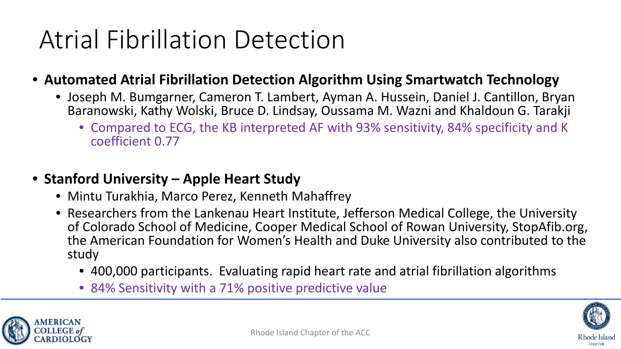# Atrial Fibrillation Detection

- **Automated Atrial Fibrillation Detection Algorithm Using Smartwatch Technology**
	- Joseph M. Bumgarner, Cameron T. Lambert, Ayman A. Hussein, Daniel J. Cantillon, Bryan Baranowski, Kathy Wolski, Bruce D. Lindsay, Oussama M. Wazni and Khaldoun G. Tarakji
		- Compared to ECG, the KB interpreted AF with 93% sensitivity, 84% specificity and K coefficient 0.77
- **Stanford University – Apple Heart Study** 
	- Mintu Turakhia, Marco Perez, Kenneth Mahaffrey
	- Researchers from the Lankenau Heart Institute, Jefferson Medical College, the University of Colorado School of Medicine, Cooper Medical School of Rowan University, StopAfib.org, the American Foundation for Women's Health and Duke University also contributed to the study
		- 400,000 participants. Evaluating rapid heart rate and atrial fibrillation algorithms
		- 84% Sensitivity with a 71% positive predictive value





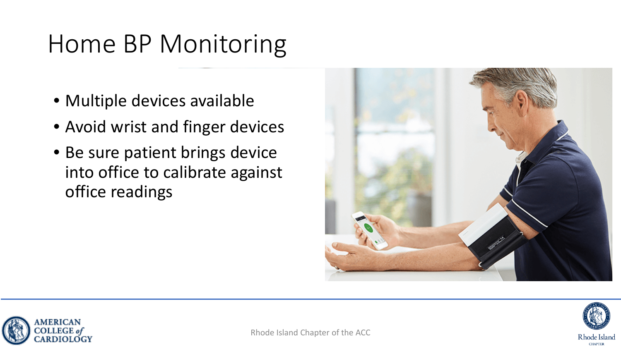## Home BP Monitoring

- Multiple devices available
- Avoid wrist and finger devices
- Be sure patient brings device into office to calibrate against office readings





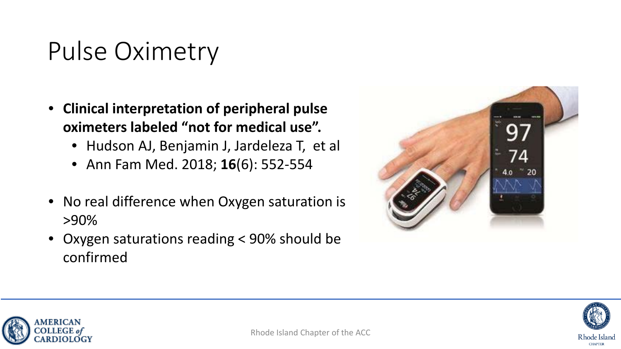### Pulse Oximetry

- **Clinical interpretation of peripheral pulse oximeters labeled "not for medical use".** 
	- Hudson AJ, Benjamin J, Jardeleza T, et al
	- Ann Fam Med. 2018; **16**(6): 552-554
- No real difference when Oxygen saturation is >90%
- Oxygen saturations reading < 90% should be confirmed





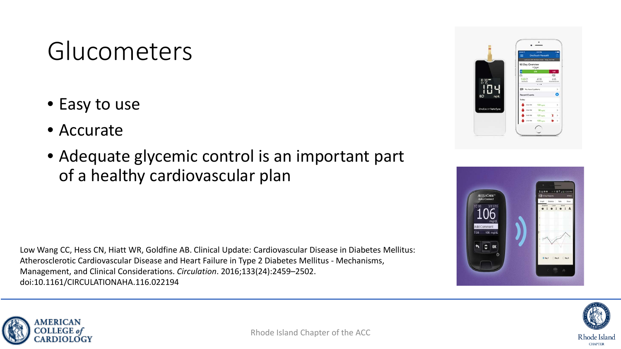### Glucometers

- Easy to use
- Accurate
- Adequate glycemic control is an important part of a healthy cardiovascular plan

Low Wang CC, Hess CN, Hiatt WR, Goldfine AB. Clinical Update: Cardiovascular Disease in Diabetes Mellitus: Atherosclerotic Cardiovascular Disease and Heart Failure in Type 2 Diabetes Mellitus - Mechanisms, Management, and Clinical Considerations. *Circulation*. 2016;133(24):2459–2502. doi:10.1161/CIRCULATIONAHA.116.022194







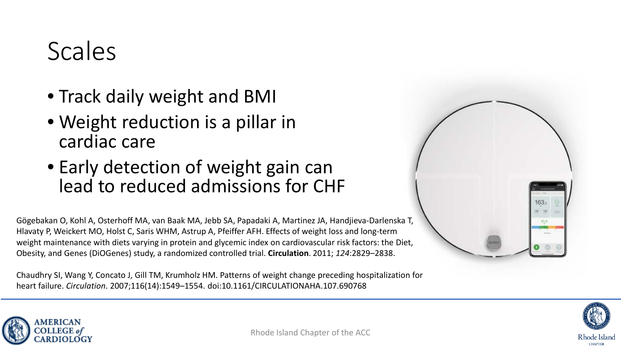#### Scales

- Track daily weight and BMI
- Weight reduction is a pillar in cardiac care
- Early detection of weight gain can lead to reduced admissions for CHF

Gögebakan O, Kohl A, Osterhoff MA, van Baak MA, Jebb SA, Papadaki A, Martinez JA, Handjieva-Darlenska T, Hlavaty P, Weickert MO, Holst C, Saris WHM, Astrup A, Pfeiffer AFH. Effects of weight loss and long-term weight maintenance with diets varying in protein and glycemic index on cardiovascular risk factors: the Diet, Obesity, and Genes (DiOGenes) study, a randomized controlled trial. **Circulation**. 2011; *124*:2829–2838.

Chaudhry SI, Wang Y, Concato J, Gill TM, Krumholz HM. Patterns of weight change preceding hospitalization for heart failure. *Circulation*. 2007;116(14):1549–1554. doi:10.1161/CIRCULATIONAHA.107.690768





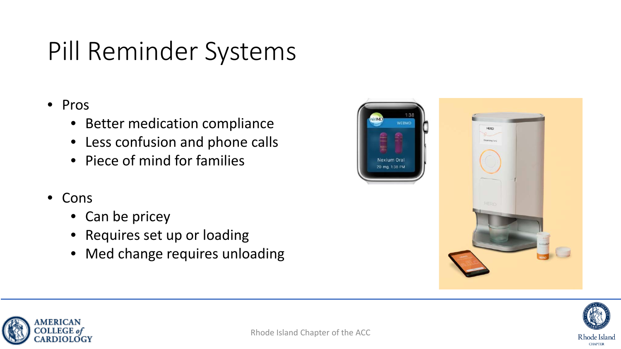# Pill Reminder Systems

#### • Pros

- Better medication compliance
- Less confusion and phone calls
- Piece of mind for families
- Cons
	- Can be pricey
	- Requires set up or loading
	- Med change requires unloading





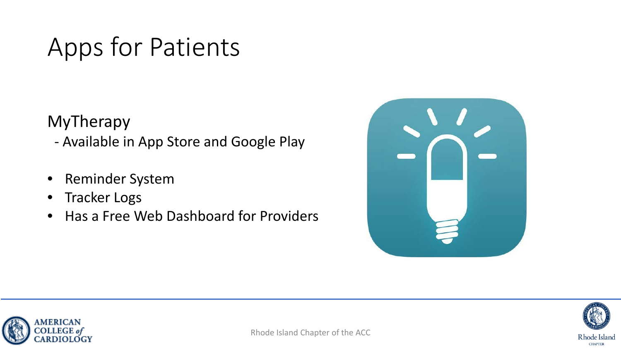### Apps for Patients

MyTherapy

- Available in App Store and Google Play

- Reminder System
- Tracker Logs
- Has a Free Web Dashboard for Providers





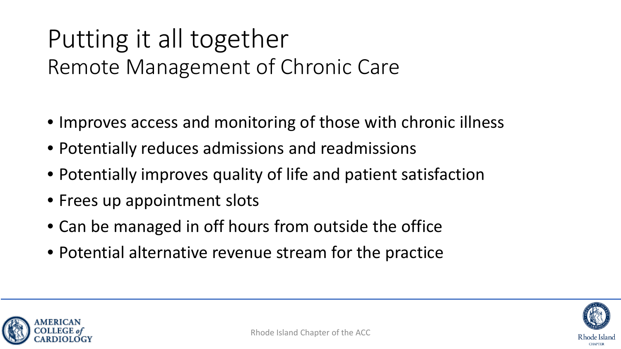#### Putting it all together Remote Management of Chronic Care

- Improves access and monitoring of those with chronic illness
- Potentially reduces admissions and readmissions
- Potentially improves quality of life and patient satisfaction
- Frees up appointment slots
- Can be managed in off hours from outside the office
- Potential alternative revenue stream for the practice



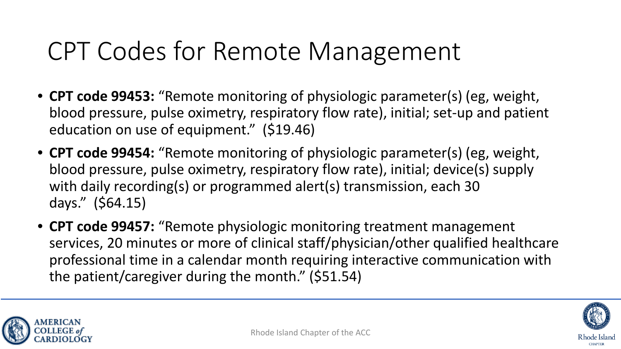#### CPT Codes for Remote Management

- **CPT code 99453:** "Remote monitoring of physiologic parameter(s) (eg, weight, blood pressure, pulse oximetry, respiratory flow rate), initial; set-up and patient education on use of equipment." (\$19.46)
- **CPT code 99454:** "Remote monitoring of physiologic parameter(s) (eg, weight, blood pressure, pulse oximetry, respiratory flow rate), initial; device(s) supply with daily recording(s) or programmed alert(s) transmission, each 30 days." (\$64.15)
- **CPT code 99457:** "Remote physiologic monitoring treatment management services, 20 minutes or more of clinical staff/physician/other qualified healthcare professional time in a calendar month requiring interactive communication with the patient/caregiver during the month." (\$51.54)





Rhode Island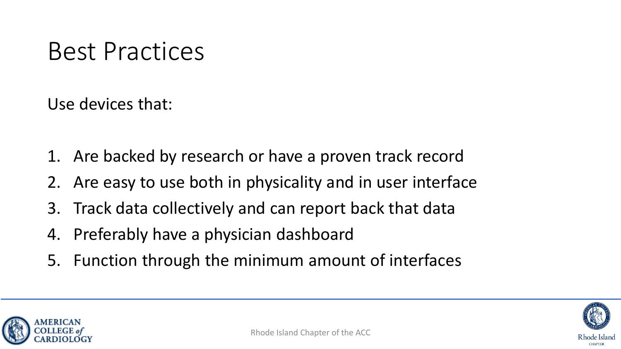#### Best Practices

Use devices that:

- 1. Are backed by research or have a proven track record
- 2. Are easy to use both in physicality and in user interface
- 3. Track data collectively and can report back that data
- 4. Preferably have a physician dashboard
- 5. Function through the minimum amount of interfaces